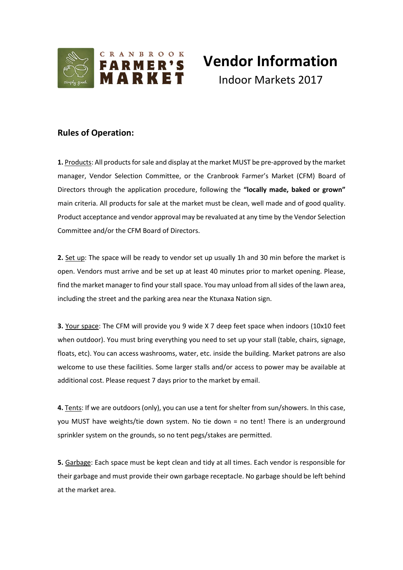

# **Vendor Information** Indoor Markets 2017

# **Rules of Operation:**

**1.** Products: All products for sale and display at the market MUST be pre-approved by the market manager, Vendor Selection Committee, or the Cranbrook Farmer's Market (CFM) Board of Directors through the application procedure, following the **"locally made, baked or grown"** main criteria. All products for sale at the market must be clean, well made and of good quality. Product acceptance and vendor approval may be revaluated at any time by the Vendor Selection Committee and/or the CFM Board of Directors.

**2.** Set up: The space will be ready to vendor set up usually 1h and 30 min before the market is open. Vendors must arrive and be set up at least 40 minutes prior to market opening. Please, find the market manager to find your stall space. You may unload from all sides of the lawn area, including the street and the parking area near the Ktunaxa Nation sign.

**3.** Your space: The CFM will provide you 9 wide X 7 deep feet space when indoors (10x10 feet when outdoor). You must bring everything you need to set up your stall (table, chairs, signage, floats, etc). You can access washrooms, water, etc. inside the building. Market patrons are also welcome to use these facilities. Some larger stalls and/or access to power may be available at additional cost. Please request 7 days prior to the market by email.

**4.** Tents: If we are outdoors (only), you can use a tent for shelter from sun/showers. In this case, you MUST have weights/tie down system. No tie down = no tent! There is an underground sprinkler system on the grounds, so no tent pegs/stakes are permitted.

**5.** Garbage: Each space must be kept clean and tidy at all times. Each vendor is responsible for their garbage and must provide their own garbage receptacle. No garbage should be left behind at the market area.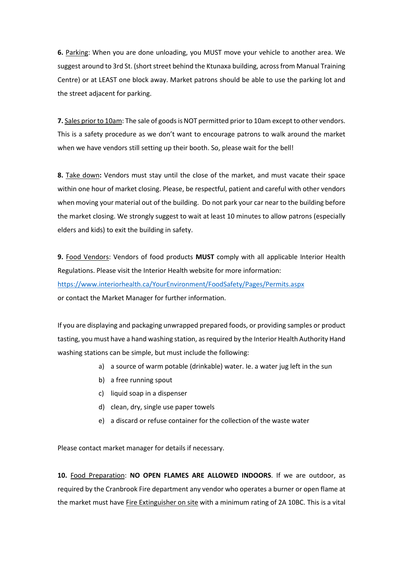**6.** Parking: When you are done unloading, you MUST move your vehicle to another area. We suggest around to 3rd St. (short street behind the Ktunaxa building, across from Manual Training Centre) or at LEAST one block away. Market patrons should be able to use the parking lot and the street adjacent for parking.

**7.** Sales prior to 10am: The sale of goods is NOT permitted prior to 10am except to other vendors. This is a safety procedure as we don't want to encourage patrons to walk around the market when we have vendors still setting up their booth. So, please wait for the bell!

**8.** Take down**:** Vendors must stay until the close of the market, and must vacate their space within one hour of market closing. Please, be respectful, patient and careful with other vendors when moving your material out of the building. Do not park your car near to the building before the market closing. We strongly suggest to wait at least 10 minutes to allow patrons (especially elders and kids) to exit the building in safety.

**9.** Food Vendors: Vendors of food products **MUST** comply with all applicable Interior Health Regulations. Please visit the Interior Health website for more information: <https://www.interiorhealth.ca/YourEnvironment/FoodSafety/Pages/Permits.aspx> or contact the Market Manager for further information.

If you are displaying and packaging unwrapped prepared foods, or providing samples or product tasting, you must have a hand washing station, as required by the Interior Health Authority Hand washing stations can be simple, but must include the following:

- a) a source of warm potable (drinkable) water. Ie. a water jug left in the sun
- b) a free running spout
- c) liquid soap in a dispenser
- d) clean, dry, single use paper towels
- e) a discard or refuse container for the collection of the waste water

Please contact market manager for details if necessary.

**10.** Food Preparation: **NO OPEN FLAMES ARE ALLOWED INDOORS**. If we are outdoor, as required by the Cranbrook Fire department any vendor who operates a burner or open flame at the market must have Fire Extinguisher on site with a minimum rating of 2A 10BC. This is a vital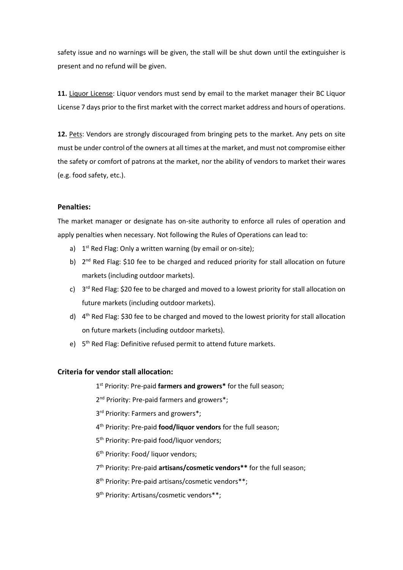safety issue and no warnings will be given, the stall will be shut down until the extinguisher is present and no refund will be given.

**11.** Liquor License: Liquor vendors must send by email to the market manager their BC Liquor License 7 days prior to the first market with the correct market address and hours of operations.

**12.** Pets: Vendors are strongly discouraged from bringing pets to the market. Any pets on site must be under control of the owners at all times at the market, and must not compromise either the safety or comfort of patrons at the market, nor the ability of vendors to market their wares (e.g. food safety, etc.).

## **Penalties:**

The market manager or designate has on-site authority to enforce all rules of operation and apply penalties when necessary. Not following the Rules of Operations can lead to:

- a)  $1<sup>st</sup>$  Red Flag: Only a written warning (by email or on-site);
- b) 2<sup>nd</sup> Red Flag: \$10 fee to be charged and reduced priority for stall allocation on future markets (including outdoor markets).
- c) 3<sup>rd</sup> Red Flag: \$20 fee to be charged and moved to a lowest priority for stall allocation on future markets (including outdoor markets).
- d) 4<sup>th</sup> Red Flag: \$30 fee to be charged and moved to the lowest priority for stall allocation on future markets (including outdoor markets).
- e) 5<sup>th</sup> Red Flag: Definitive refused permit to attend future markets.

### **Criteria for vendor stall allocation:**

1 st Priority: Pre-paid **farmers and growers\*** for the full season;

2<sup>nd</sup> Priority: Pre-paid farmers and growers\*;

3<sup>rd</sup> Priority: Farmers and growers\*;

4 th Priority: Pre-paid **food/liquor vendors** for the full season;

5<sup>th</sup> Priority: Pre-paid food/liquor vendors;

6 th Priority: Food/ liquor vendors;

7 th Priority: Pre-paid **artisans/cosmetic vendors\*\*** for the full season;

8 th Priority: Pre-paid artisans/cosmetic vendors\*\*;

9<sup>th</sup> Priority: Artisans/cosmetic vendors\*\*;